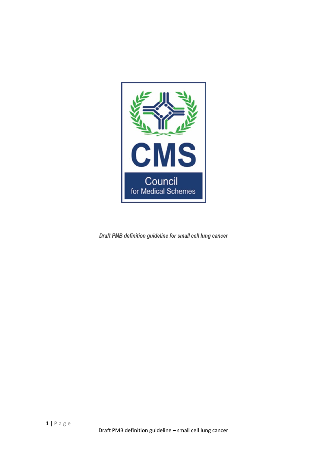

*Draft PMB definition guideline for small cell lung cancer*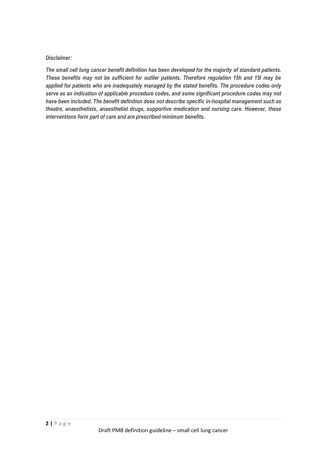#### *Disclaimer:*

*The small cell lung cancer benefit definition has been developed for the majority of standard patients. These benefits may not be sufficient for outlier patients. Therefore regulation 15h and 15I may be applied for patients who are inadequately managed by the stated benefits. The procedure codes only serve as an indication of applicable procedure codes, and some significant procedure codes may not have been included. The benefit definition does not describe specific in-hospital management such as theatre, anaesthetists, anaesthetist drugs, supportive medication and nursing care. However, these interventions form part of care and are prescribed minimum benefits.*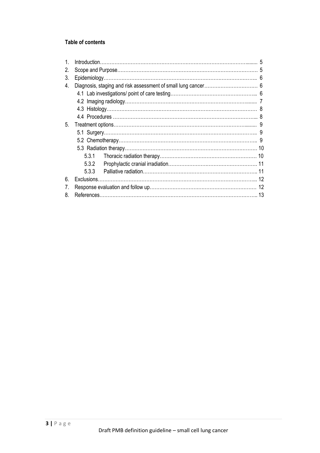# **Table of contents**

| 2. |             |  |  |
|----|-------------|--|--|
| 3. |             |  |  |
| 4. |             |  |  |
|    |             |  |  |
|    |             |  |  |
|    |             |  |  |
|    |             |  |  |
| 5. |             |  |  |
|    |             |  |  |
|    |             |  |  |
|    |             |  |  |
|    | 5.3.1       |  |  |
|    | 5.3.2       |  |  |
|    | 533         |  |  |
| 6  | Exclusions. |  |  |
| 7. |             |  |  |
| 8  |             |  |  |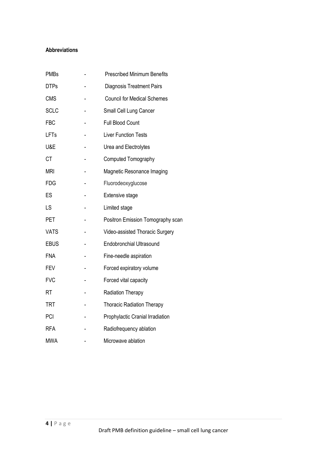#### **Abbreviations**

| <b>PMBs</b> | <b>Prescribed Minimum Benefits</b> |
|-------------|------------------------------------|
| <b>DTPs</b> | <b>Diagnosis Treatment Pairs</b>   |
| <b>CMS</b>  | <b>Council for Medical Schemes</b> |
| <b>SCLC</b> | Small Cell Lung Cancer             |
| <b>FBC</b>  | <b>Full Blood Count</b>            |
| LFTs        | <b>Liver Function Tests</b>        |
| U&E         | Urea and Electrolytes              |
| <b>CT</b>   | Computed Tomography                |
| mri         | Magnetic Resonance Imaging         |
| <b>FDG</b>  | Fluorodeoxyglucose                 |
| ES          | <b>Extensive stage</b>             |
| LS          | Limited stage                      |
| <b>PET</b>  | Positron Emission Tomography scan  |
| <b>VATS</b> | Video-assisted Thoracic Surgery    |
| <b>EBUS</b> | <b>Endobronchial Ultrasound</b>    |
| <b>FNA</b>  | Fine-needle aspiration             |
| <b>FEV</b>  | Forced expiratory volume           |
| <b>FVC</b>  | Forced vital capacity              |
| <b>RT</b>   | Radiation Therapy                  |
| <b>TRT</b>  | <b>Thoracic Radiation Therapy</b>  |
| PCI         | Prophylactic Cranial Irradiation   |
| <b>RFA</b>  | Radiofrequency ablation            |
| MWA         | Microwave ablation                 |
|             |                                    |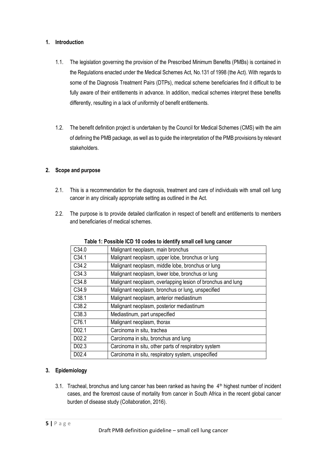## **1. Introduction**

- 1.1. The legislation governing the provision of the Prescribed Minimum Benefits (PMBs) is contained in the Regulations enacted under the Medical Schemes Act, No.131 of 1998 (the Act). With regards to some of the Diagnosis Treatment Pairs (DTPs), medical scheme beneficiaries find it difficult to be fully aware of their entitlements in advance. In addition, medical schemes interpret these benefits differently, resulting in a lack of uniformity of benefit entitlements.
- 1.2. The benefit definition project is undertaken by the Council for Medical Schemes (CMS) with the aim of defining the PMB package, as well as to guide the interpretation of the PMB provisions by relevant stakeholders.

## **2. Scope and purpose**

- 2.1. This is a recommendation for the diagnosis, treatment and care of individuals with small cell lung cancer in any clinically appropriate setting as outlined in the Act.
- 2.2. The purpose is to provide detailed clarification in respect of benefit and entitlements to members and beneficiaries of medical schemes.

| C34.0             | Malignant neoplasm, main bronchus                           |
|-------------------|-------------------------------------------------------------|
| C34.1             | Malignant neoplasm, upper lobe, bronchus or lung            |
| C34.2             | Malignant neoplasm, middle lobe, bronchus or lung           |
| C34.3             | Malignant neoplasm, lower lobe, bronchus or lung            |
| C34.8             | Malignant neoplasm, overlapping lesion of bronchus and lung |
| C <sub>34.9</sub> | Malignant neoplasm, bronchus or lung, unspecified           |
| C38.1             | Malignant neoplasm, anterior mediastinum                    |
| C <sub>38.2</sub> | Malignant neoplasm, posterior mediastinum                   |
| C <sub>38.3</sub> | Mediastinum, part unspecified                               |
| C76.1             | Malignant neoplasm, thorax                                  |
| D <sub>02.1</sub> | Carcinoma in situ, trachea                                  |
| D <sub>02.2</sub> | Carcinoma in situ, bronchus and lung                        |
| D02.3             | Carcinoma in situ, other parts of respiratory system        |
| D02.4             | Carcinoma in situ, respiratory system, unspecified          |

**Table 1: Possible ICD 10 codes to identify small cell lung cancer**

## **3. Epidemiology**

3.1. Tracheal, bronchus and lung cancer has been ranked as having the  $4<sup>th</sup>$  highest number of incident cases, and the foremost cause of mortality from cancer in South Africa in the recent global cancer burden of disease study (Collaboration, 2016).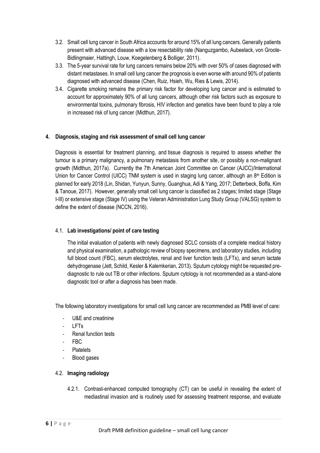- 3.2. Small cell lung cancer in South Africa accounts for around 15% of all lung cancers. Generally patients present with advanced disease with a low resectability rate (Nanguzgambo, Aubeelack, von Groote-Bidlingmaier, Hattingh, Louw, Koegelenberg & Bolliger, 2011).
- 3.3. The 5-year survival rate for lung cancers remains below 20% with over 50% of cases diagnosed with distant metastases. In small cell lung cancer the prognosis is even worse with around 90% of patients diagnosed with advanced disease (Chen, Ruiz, Hsieh, Wu, Ries & Lewis, 2014).
- 3.4. Cigarette smoking remains the primary risk factor for developing lung cancer and is estimated to account for approximately 90% of all lung cancers, although other risk factors such as exposure to environmental toxins, pulmonary fibrosis, HIV infection and genetics have been found to play a role in increased risk of lung cancer (Midthun, 2017).

## **4. Diagnosis, staging and risk assessment of small cell lung cancer**

Diagnosis is essential for treatment planning, and tissue diagnosis is required to assess whether the tumour is a primary malignancy, a pulmonary metastasis from another site, or possibly a non-malignant growth (Midthun, 2017a). Currently the 7th American Joint Committee on Cancer (AJCC)/International Union for Cancer Control (UICC) TNM system is used in staging lung cancer, although an 8<sup>th</sup> Edition is planned for early 2018 (Lin, Shidan, Yunyun, Sunny, Guanghua, Adi & Yang, 2017; Detterbeck, Boffa, Kim & Tanoue, 2017). However, generally small cell lung cancer is classified as 2 stages; limited stage (Stage I-III) or extensive stage (Stage IV) using the Veteran Administration Lung Study Group (VALSG) system to define the extent of disease (NCCN, 2016).

## 4.1. **Lab investigations/ point of care testing**

The initial evaluation of patients with newly diagnosed SCLC consists of a complete medical history and physical examination, a pathologic review of biopsy specimens, and laboratory studies, including full blood count (FBC), serum electrolytes, renal and liver function tests (LFTs), and serum lactate dehydrogenase (Jett, Schild, Kesler & Kalemkerian, 2013). Sputum cytology might be requested prediagnostic to rule out TB or other infections. Sputum cytology is not recommended as a stand-alone diagnostic tool or after a diagnosis has been made.

The following laboratory investigations for small cell lung cancer are recommended as PMB level of care:

- U&E and creatinine
- LFT<sub>s</sub>
- Renal function tests
- FBC
- **Platelets**
- Blood gases

## 4.2. **Imaging radiology**

4.2.1. Contrast-enhanced computed tomography (CT) can be useful in revealing the extent of mediastinal invasion and is routinely used for assessing treatment response, and evaluate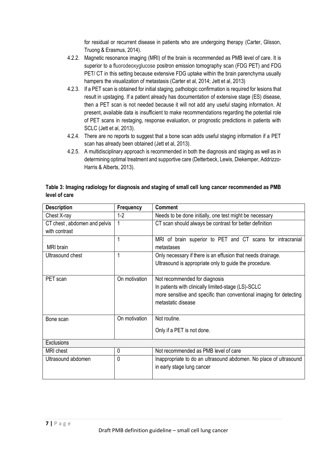for residual or recurrent disease in patients who are undergoing therapy (Carter, Glisson, Truong & Erasmus, 2014).

- 4.2.2. Magnetic resonance imaging (MRI) of the brain is recommended as PMB level of care. It is superior to a fluorodeoxyglucose positron emission tomography scan (FDG PET) and FDG PET/ CT in this setting because extensive FDG uptake within the brain parenchyma usually hampers the visualization of metastasis (Carter et al, 2014; Jett et al, 2013)
- 4.2.3. If a PET scan is obtained for initial staging, pathologic confirmation is required for lesions that result in upstaging. If a patient already has documentation of extensive stage (ES) disease, then a PET scan is not needed because it will not add any useful staging information. At present, available data is insufficient to make recommendations regarding the potential role of PET scans in restaging, response evaluation, or prognostic predictions in patients with SCLC (Jett et al, 2013).
- 4.2.4. There are no reports to suggest that a bone scan adds useful staging information if a PET scan has already been obtained (Jett et al, 2013).
- 4.2.5. A multidisciplinary approach is recommended in both the diagnosis and staging as well as in determining optimal treatment and supportive care (Detterbeck, Lewis, Diekemper, Addrizzo-Harris & Alberts, 2013).

## **Table 3: Imaging radiology for diagnosis and staging of small cell lung cancer recommended as PMB level of care**

| <b>Description</b>           | <b>Frequency</b> | <b>Comment</b>                                                      |  |
|------------------------------|------------------|---------------------------------------------------------------------|--|
| Chest X-ray                  | $1 - 2$          | Needs to be done initially, one test might be necessary             |  |
| CT chest, abdomen and pelvis |                  | CT scan should always be contrast for better definition             |  |
| with contrast                |                  |                                                                     |  |
|                              |                  | MRI of brain superior to PET and CT scans for intracranial          |  |
| <b>MRI</b> brain             |                  | metastases                                                          |  |
| Ultrasound chest             | 1                | Only necessary if there is an effusion that needs drainage.         |  |
|                              |                  | Ultrasound is appropriate only to guide the procedure.              |  |
|                              |                  |                                                                     |  |
| PET scan                     | On motivation    | Not recommended for diagnosis                                       |  |
|                              |                  | In patients with clinically limited-stage (LS)-SCLC                 |  |
|                              |                  | more sensitive and specific than conventional imaging for detecting |  |
|                              |                  | metastatic disease                                                  |  |
|                              |                  |                                                                     |  |
| Bone scan                    | On motivation    | Not routine.                                                        |  |
|                              |                  | Only if a PET is not done.                                          |  |
|                              |                  |                                                                     |  |
| Exclusions                   |                  |                                                                     |  |
| <b>MRI</b> chest             | 0                | Not recommended as PMB level of care                                |  |
| Ultrasound abdomen           | 0                | Inappropriate to do an ultrasound abdomen. No place of ultrasound   |  |
|                              |                  | in early stage lung cancer                                          |  |
|                              |                  |                                                                     |  |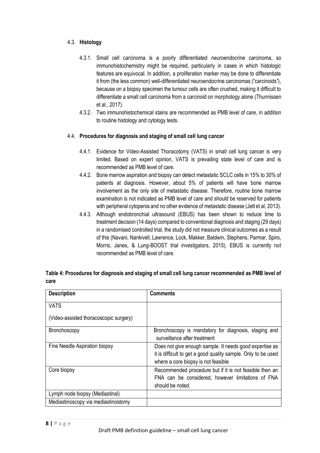## 4.3. **Histology**

- 4.3.1. Small cell carcinoma is a poorly differentiated neuroendocrine carcinoma, so immunohistochemistry might be required, particularly in cases in which histologic features are equivocal. In addition, a proliferation marker may be done to differentiate it from (the less common) well-differentiated neuroendocrine carcinomas ("carcinoids"), because on a biopsy specimen the tumour cells are often crushed, making it difficult to differentiate a small cell carcinoma from a carcinoid on morphology alone (Thunnissen et al., 2017).
- 4.3.2. Two immunohistochemical stains are recommended as PMB level of care, in addition to routine histology and cytology tests.

## 4.4. **Procedures for diagnosis and staging of small cell lung cancer**

- 4.4.1. Evidence for Video-Assisted Thoracotomy (VATS) in small cell lung cancer is very limited. Based on expert opinion, VATS is prevailing state level of care and is recommended as PMB level of care.
- 4.4.2. Bone marrow aspiration and biopsy can detect metastatic SCLC cells in 15% to 30% of patients at diagnosis. However, about 5% of patients will have bone marrow involvement as the only site of metastatic disease. Therefore, routine bone marrow examination is not indicated as PMB level of care and should be reserved for patients with peripheral cytopenia and no other evidence of metastatic disease (Jett et al, 2013).
- 4.4.3. Although endobronchial ultrasound (EBUS) has been shown to reduce time to treatment decision (14 days) compared to conventional diagnosis and staging (29 days) in a randomised controlled trial, the study did not measure clinical outcomes as a result of this (Navani, Nankivell, Lawrence, Lock, Makker, Baldwin, Stephens, Parmar, Spiro, Morris, Janes, & Lung-BOOST trial investigators, 2015). EBUS is currently not recommended as PMB level of care.

| <b>Description</b>                     | <b>Comments</b>                                                                                                                                                 |
|----------------------------------------|-----------------------------------------------------------------------------------------------------------------------------------------------------------------|
| <b>VATS</b>                            |                                                                                                                                                                 |
| (Video-assisted thoracoscopic surgery) |                                                                                                                                                                 |
| <b>Bronchoscopy</b>                    | Bronchoscopy is mandatory for diagnosis, staging and<br>surveillance after treatment                                                                            |
| Fine Needle Aspiration biopsy          | Does not give enough sample. It needs good expertise as<br>it is difficult to get a good quality sample. Only to be used<br>where a core biopsy is not feasible |
| Core biopsy                            | Recommended procedure but if it is not feasible then an<br>FNA can be considered, however limitations of FNA<br>should be noted.                                |
| Lymph node biopsy (Mediastinal)        |                                                                                                                                                                 |
| Mediastinoscopy via mediastinostomy    |                                                                                                                                                                 |

| Table 4: Procedures for diagnosis and staging of small cell lung cancer recommended as PMB level of |  |
|-----------------------------------------------------------------------------------------------------|--|
| care                                                                                                |  |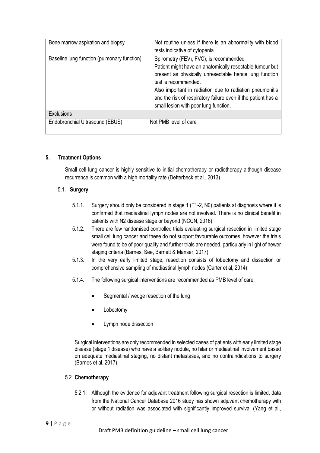| Bone marrow aspiration and biopsy           | Not routine unless if there is an abnormality with blood      |  |
|---------------------------------------------|---------------------------------------------------------------|--|
|                                             | tests indicative of cytopenia.                                |  |
| Baseline lung function (pulmonary function) | Spirometry (FEV <sub>1</sub> , FVC), is recommended           |  |
|                                             | Patient might have an anatomically resectable tumour but      |  |
|                                             | present as physically unresectable hence lung function        |  |
|                                             | test is recommended.                                          |  |
|                                             | Also important in radiation due to radiation pneumonitis      |  |
|                                             | and the risk of respiratory failure even if the patient has a |  |
|                                             | small lesion with poor lung function.                         |  |
| <b>Exclusions</b>                           |                                                               |  |
| Endobronchial Ultrasound (EBUS)             | Not PMB level of care                                         |  |
|                                             |                                                               |  |

#### **5. Treatment Options**

Small cell lung cancer is highly sensitive to initial chemotherapy or radiotherapy although disease recurrence is common with a high mortality rate (Detterbeck et al., 2013).

#### 5.1. **Surgery**

- 5.1.1. Surgery should only be considered in stage 1 (T1-2, N0) patients at diagnosis where it is confirmed that mediastinal lymph nodes are not involved. There is no clinical benefit in patients with N2 disease stage or beyond (NCCN, 2016).
- 5.1.2. There are few randomised controlled trials evaluating surgical resection in limited stage small cell lung cancer and these do not support favourable outcomes, however the trials were found to be of poor quality and further trials are needed, particularly in light of newer staging criteria (Barnes, See, Barnett & Manser, 2017).
- 5.1.3. In the very early limited stage, resection consists of lobectomy and dissection or comprehensive sampling of mediastinal lymph nodes (Carter et al, 2014).
- 5.1.4. The following surgical interventions are recommended as PMB level of care:
	- Segmental / wedge resection of the lung
	- **Lobectomv**
	- Lymph node dissection

Surgical interventions are only recommended in selected cases of patients with early limited stage disease (stage 1 disease) who have a solitary nodule, no hilar or mediastinal involvement based on adequate mediastinal staging, no distant metastases, and no contraindications to surgery (Barnes et al, 2017).

#### 5.2. **Chemotherapy**

5.2.1. Although the evidence for adjuvant treatment following surgical resection is limited, data from the National Cancer Database 2016 study has shown adjuvant chemotherapy with or without radiation was associated with significantly improved survival (Yang et al.,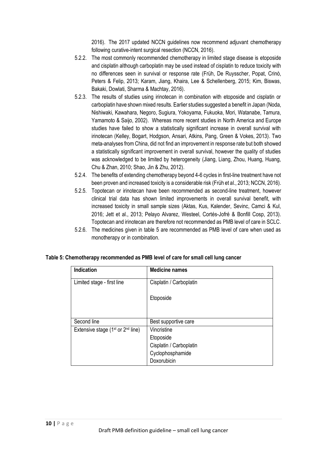2016). The 2017 updated NCCN guidelines now recommend adjuvant chemotherapy following curative-intent surgical resection (NCCN, 2016).

- 5.2.2. The most commonly recommended chemotherapy in limited stage disease is etoposide and cisplatin although carboplatin may be used instead of cisplatin to reduce toxicity with no differences seen in survival or response rate (Früh, De Ruysscher, Popat, Crinò, Peters & Felip, 2013; Karam, Jiang, Khaira, Lee & Schellenberg, 2015; Kim, Biswas, Bakaki, Dowlati, Sharma & Machtay, 2016).
- 5.2.3. The results of studies using irinotecan in combination with etoposide and cisplatin or carboplatin have shown mixed results. Earlier studies suggested a benefit in Japan (Noda, Nishiwaki, Kawahara, Negoro, Sugiura, Yokoyama, Fukuoka, Mori, Watanabe, Tamura, Yamamoto & Saijo, 2002). Whereas more recent studies in North America and Europe studies have failed to show a statistically significant increase in overall survival with irinotecan (Kelley, Bogart, Hodgson, Ansari, Atkins, Pang, Green & Vokes, 2013). Two meta-analyses from China, did not find an improvement in response rate but both showed a statistically significant improvement in overall survival, however the quality of studies was acknowledged to be limited by heterogeneity (Jiang, Liang, Zhou, Huang, Huang, Chu & Zhan, 2010; Shao, Jin & Zhu, 2012).
- 5.2.4. The benefits of extending chemotherapy beyond 4-6 cycles in first-line treatment have not been proven and increased toxicity is a considerable risk (Früh et al., 2013; NCCN, 2016).
- 5.2.5. Topotecan or irinotecan have been recommended as second-line treatment, however clinical trial data has shown limited improvements in overall survival benefit, with increased toxicity in small sample sizes (Aktas, Kus, Kalender, Sevinc, Camci & Kul, 2016; Jett et al., 2013; Pelayo Alvarez, Westeel, Cortés-Jofré & Bonfill Cosp, 2013). Topotecan and irinotecan are therefore not recommended as PMB level of care in SCLC.
- 5.2.6. The medicines given in table 5 are recommended as PMB level of care when used as monotherapy or in combination.

| <b>Indication</b>                      | <b>Medicine names</b>   |
|----------------------------------------|-------------------------|
| Limited stage - first line             | Cisplatin / Carboplatin |
|                                        | Etoposide               |
|                                        |                         |
| Second line                            | Best supportive care    |
| Extensive stage ( $1st$ or $2nd$ line) | Vincristine             |
|                                        | Etoposide               |
|                                        | Cisplatin / Carboplatin |
|                                        | Cyclophosphamide        |
|                                        | Doxorubicin             |

#### **Table 5: Chemotherapy recommended as PMB level of care for small cell lung cancer**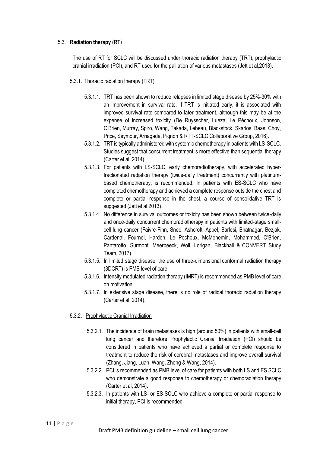### 5.3. **Radiation therapy (RT)**

The use of RT for SCLC will be discussed under thoracic radiation therapy (TRT), prophylactic cranial irradiation (PCI), and RT used for the palliation of various metastases (Jett et al,2013).

### 5.3.1. Thoracic radiation therapy (TRT)

- 5.3.1.1. TRT has been shown to reduce relapses in limited stage disease by 25%-30% with an improvement in survival rate. If TRT is initiated early, it is associated with improved survival rate compared to later treatment, although this may be at the expense of increased toxicity (De Ruysscher, Lueza, Le Péchoux, Johnson, O'Brien, Murray, Spiro, Wang, Takada, Lebeau, Blackstock, Skarlos, Baas, Choy, Price, Seymour, Arriagada, Pignon & RTT-SCLC Collaborative Group, 2016).
- 5.3.1.2. TRT is typically administered with systemic chemotherapy in patients with LS-SCLC. Studies suggest that concurrent treatment is more effective than sequential therapy (Carter et al, 2014).
- 5.3.1.3. For patients with LS-SCLC, early chemoradiotherapy, with accelerated hyperfractionated radiation therapy (twice-daily treatment) concurrently with platinumbased chemotherapy, is recommended. In patients with ES-SCLC who have completed chemotherapy and achieved a complete response outside the chest and complete or partial response in the chest, a course of consolidative TRT is suggested (Jett et al,2013).
- 5.3.1.4. No difference in survival outcomes or toxicity has been shown between twice-daily and once-daily concurrent chemoradiotherapy in patients with limited-stage smallcell lung cancer (Faivre-Finn, Snee, Ashcroft, Appel, Barlesi, Bhatnagar, Bezjak, Cardenal, Fournel, Harden, Le Pechoux, McMenemin, Mohammed, O'Brien, Pantarotto, Surmont, Meerbeeck, Woll, Lorigan, Blackhall & CONVERT Study Team, 2017).
- 5.3.1.5. In limited stage disease, the use of three-dimensional conformal radiation therapy (3DCRT) is PMB level of care.
- 5.3.1.6. Intensity modulated radiation therapy (IMRT) is recommended as PMB level of care on motivation.
- 5.3.1.7. In extensive stage disease, there is no role of radical thoracic radiation therapy (Carter et al, 2014).
- 5.3.2. Prophylactic Cranial Irradiation
	- 5.3.2.1. The incidence of brain metastases is high (around 50%) in patients with small-cell lung cancer and therefore Prophylactic Cranial Irradiation (PCI) should be considered in patients who have achieved a partial or complete response to treatment to reduce the risk of cerebral metastases and improve overall survival (Zhang, Jiang, Luan, Wang, Zheng & Wang, 2014).
	- 5.3.2.2. PCI is recommended as PMB level of care for patients with both LS and ES SCLC who demonstrate a good response to chemotherapy or chemoradiation therapy (Carter et al, 2014).
	- 5.3.2.3. In patients with LS- or ES-SCLC who achieve a complete or partial response to initial therapy, PCI is recommended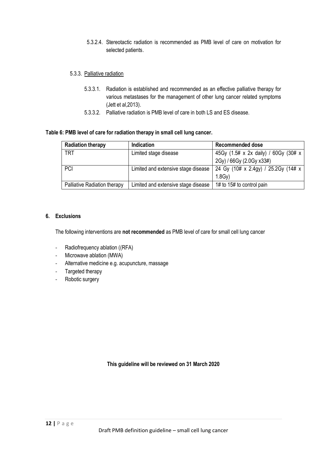5.3.2.4. Stereotactic radiation is recommended as PMB level of care on motivation for selected patients.

#### 5.3.3. Palliative radiation

- 5.3.3.1. Radiation is established and recommended as an effective palliative therapy for various metastases for the management of other lung cancer related symptoms (Jett et al,2013).
- 5.3.3.2. Palliative radiation is PMB level of care in both LS and ES disease.

#### **Table 6: PMB level of care for radiation therapy in small cell lung cancer.**

| <b>Radiation therapy</b>     | <b>Indication</b>                   | <b>Recommended dose</b>                                                   |
|------------------------------|-------------------------------------|---------------------------------------------------------------------------|
| <b>TRT</b>                   | Limited stage disease               | 45Gy (1.5# x 2x daily) / 60Gy (30# x                                      |
|                              |                                     | 2Gy) / 66Gy (2.0Gy x33#)                                                  |
| <b>PCI</b>                   |                                     | Limited and extensive stage disease   24 Gy (10# x 2.4gy) / 25.2Gy (14# x |
|                              |                                     | $1.8$ Gv $)$                                                              |
| Palliative Radiation therapy | Limited and extensive stage disease | 1# to 15# to control pain                                                 |

#### **6. Exclusions**

The following interventions are **not recommended** as PMB level of care for small cell lung cancer

- Radiofrequency ablation ((RFA)
- Microwave ablation (MWA)
- Alternative medicine e.g. acupuncture, massage
- Targeted therapy
- Robotic surgery

**This guideline will be reviewed on 31 March 2020**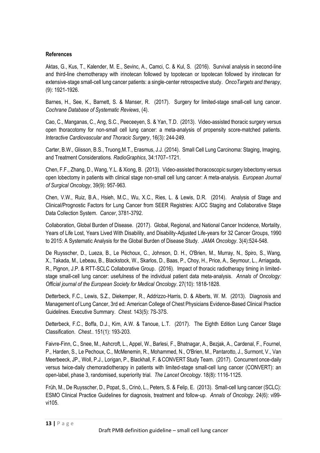## **References**

Aktas, G., Kus, T., Kalender, M. E., Sevinc, A., Camci, C. & Kul, S. (2016). Survival analysis in second-line and third-line chemotherapy with irinotecan followed by topotecan or topotecan followed by irinotecan for extensive-stage small-cell lung cancer patients: a single-center retrospective study. *OncoTargets and therapy*, (9): 1921-1926.

Barnes, H., See, K., Barnett, S. & Manser, R. (2017). Surgery for limited-stage small-cell lung cancer. *Cochrane Database of Systematic Reviews*, (4).

Cao, C., Manganas, C., Ang, S.C., Peeceeyen, S. & Yan, T.D. (2013). Video-assisted thoracic surgery versus open thoracotomy for non-small cell lung cancer: a meta-analysis of propensity score-matched patients. *Interactive Cardiovascular and Thoracic Surgery*, 16(3): 244-249.

Carter, B.W., Glisson, B.S., Truong,M.T., Erasmus, J.J. (2014). Small Cell Lung Carcinoma: Staging, Imaging, and Treatment Considerations. *RadioGraphics*, 34:1707–1721.

Chen, F.F., Zhang, D., Wang, Y.L. & Xiong, B. (2013). Video-assisted thoracoscopic surgery lobectomy versus open lobectomy in patients with clinical stage non-small cell lung cancer: A meta-analysis*. European Journal of Surgical Oncology*, 39(9): 957-963.

Chen, V.W., Ruiz, B.A., Hsieh, M.C., Wu, X.C., Ries, L. & Lewis, D.R. (2014). Analysis of Stage and Clinical/Prognostic Factors for Lung Cancer from SEER Registries: AJCC Staging and Collaborative Stage Data Collection System. *Cancer*, 3781-3792.

Collaboration, Global Burden of Disease. (2017). Global, Regional, and National Cancer Incidence, Mortality, Years of Life Lost, Years Lived With Disability, and Disability-Adjusted Life-years for 32 Cancer Groups, 1990 to 2015: A Systematic Analysis for the Global Burden of Disease Study. *JAMA Oncology*. 3(4):524-548.

De Ruysscher, D., Lueza, B., Le Péchoux, C., Johnson, D. H., O'Brien, M., Murray, N., Spiro, S., Wang, X., Takada, M., Lebeau, B., Blackstock, W., Skarlos, D., Baas, P., Choy, H., Price, A., Seymour, L., Arriagada, R., Pignon, J.P. & RTT-SCLC Collaborative Group. (2016). Impact of thoracic radiotherapy timing in limitedstage small-cell lung cancer: usefulness of the individual patient data meta-analysis. *Annals of Oncology: Official journal of the European Society for Medical Oncology*. 27(10): 1818-1828.

Detterbeck, F.C., Lewis, S.Z., Diekemper, R., Addrizzo-Harris, D. & Alberts, W. M. (2013). Diagnosis and Management of Lung Cancer, 3rd ed: American College of Chest Physicians Evidence-Based Clinical Practice Guidelines. Executive Summary. *Chest.* 143(5): 7S-37S.

Detterbeck, F.C., Boffa, D.J., Kim, A.W. & Tanoue, L.T. (2017). The Eighth Edition Lung Cancer Stage Classification. *Chest.*. 151(1): 193-203.

Faivre-Finn, C., Snee, M., Ashcroft, L., Appel, W., Barlesi, F., Bhatnagar, A., Bezjak, A., Cardenal, F., Fournel, P., Harden, S., Le Pechoux, C., McMenemin, R., Mohammed, N., O'Brien, M., Pantarotto, J., Surmont, V., Van Meerbeeck, JP., Woll, P.J., Lorigan, P., Blackhall, F. & CONVERT Study Team. (2017). Concurrent once-daily versus twice-daily chemoradiotherapy in patients with limited-stage small-cell lung cancer (CONVERT): an open-label, phase 3, randomised, superiority trial. *The Lancet Oncology*. 18(8): 1116-1125.

Früh, M., De Ruysscher, D., Popat, S., Crinò, L., Peters, S. & Felip, E. (2013). Small-cell lung cancer (SCLC): ESMO Clinical Practice Guidelines for diagnosis, treatment and follow-up. *Annals of Oncology*. 24(6): vi99 vi105.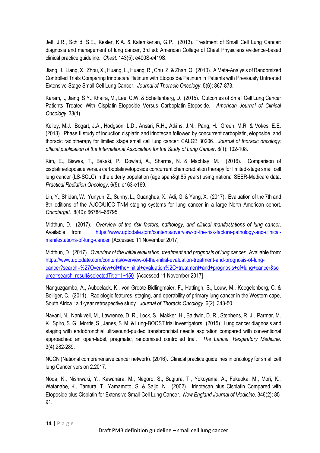Jett, J.R., Schild, S.E., Kesler, K.A. & Kalemkerian, G.P. (2013). Treatment of Small Cell Lung Cancer: diagnosis and management of lung cancer, 3rd ed: American College of Chest Physicians evidence‐based clinical practice guideline**.** *Chest*. 143(5): e400S-e419S.

Jiang, J., Liang, X., Zhou, X., Huang, L., Huang, R., Chu, Z. & Zhan, Q. (2010). A Meta-Analysis of Randomized Controlled Trials Comparing Irinotecan/Platinum with Etoposide/Platinum in Patients with Previously Untreated Extensive-Stage Small Cell Lung Cancer. *Journal of Thoracic Oncology*. 5(6): 867-873.

Karam, I., Jiang, S.Y., Khaira, M., Lee, C.W. & Schellenberg, D. (2015). Outcomes of Small Cell Lung Cancer Patients Treated With Cisplatin-Etoposide Versus Carboplatin-Etoposide. *American Journal of Clinical Oncology*. 38(1).

Kelley, M.J., Bogart, J.A., Hodgson, L.D., Ansari, R.H., Atkins, J.N., Pang, H., Green, M.R. & Vokes, E.E. (2013). Phase II study of induction cisplatin and irinotecan followed by concurrent carboplatin, etoposide, and thoracic radiotherapy for limited stage small cell lung cancer: CALGB 30206. *Journal of thoracic oncology: official publication of the International Association for the Study of Lung Cancer*. 8(1): 102-108.

Kim, E., Biswas, T., Bakaki, P., Dowlati, A., Sharma, N. & Machtay, M. (2016). Comparison of cisplatin/etoposide versus carboplatin/etoposide concurrent chemoradiation therapy for limited-stage small cell lung cancer (LS-SCLC) in the elderly population (age span>65 years) using national SEER-Medicare data. *Practical Radiation Oncology*. 6(5): e163-e169.

Lin, Y., Shidan, W., Yunyun, Z., Sunny, L., Guanghua, X., Adi, G. & Yang, X. (2017). Evaluation of the 7th and 8th editions of the AJCC/UICC TNM staging systems for lung cancer in a large North American cohort. *Oncotarget*. 8(40): 66784–66795.

Midthun, D. (2017). *Overview of the risk factors, pathology, and clinical manifestations of lung cancer.* Available from: [https://www.uptodate.com/contents/overview-of-the-risk-factors-pathology-and-clinical](https://www.uptodate.com/contents/overview-of-the-risk-factors-pathology-and-clinical-manifestations-of-lung-cancer)[manifestations-of-lung-cancer](https://www.uptodate.com/contents/overview-of-the-risk-factors-pathology-and-clinical-manifestations-of-lung-cancer) [Accessed 11 November 2017]

Midthun, D. (2017). *Overview of the initial evaluation, treatment and prognosis of lung cancer*. Available from: [https://www.uptodate.com/contents/overview-of-the-initial-evaluation-treatment-and-prognosis-of-lung](https://www.uptodate.com/contents/overview-of-the-initial-evaluation-treatment-and-prognosis-of-lung-cancer?search=%27Overview+of+the+initial+evaluation%2C+treatment+and+prognosis+of+lung+cancer&source=search_result&selectedTitle=1~150)[cancer?search=%27Overview+of+the+initial+evaluation%2C+treatment+and+prognosis+of+lung+cancer&so](https://www.uptodate.com/contents/overview-of-the-initial-evaluation-treatment-and-prognosis-of-lung-cancer?search=%27Overview+of+the+initial+evaluation%2C+treatment+and+prognosis+of+lung+cancer&source=search_result&selectedTitle=1~150) [urce=search\\_result&selectedTitle=1~150](https://www.uptodate.com/contents/overview-of-the-initial-evaluation-treatment-and-prognosis-of-lung-cancer?search=%27Overview+of+the+initial+evaluation%2C+treatment+and+prognosis+of+lung+cancer&source=search_result&selectedTitle=1~150) [Accessed 11 November 2017]

Nanguzgambo, A., Aubeelack, K., von Groote-Bidlingmaier, F., Hattingh, S., Louw, M., Koegelenberg, C. & Bolliger, C. (2011). Radiologic features, staging, and operability of primary lung cancer in the Western cape, South Africa : a 1-year retrospective study. *Journal of Thoracic Oncology*. 6(2): 343-50.

Navani, N., Nankivell, M., Lawrence, D. R., Lock, S., Makker, H., Baldwin, D. R., Stephens, R. J., Parmar, M. K., Spiro, S. G., Morris, S., Janes, S. M. & Lung-BOOST trial investigators. (2015). Lung cancer diagnosis and staging with endobronchial ultrasound-guided transbronchial needle aspiration compared with conventional approaches: an open-label, pragmatic, randomised controlled trial*. The Lancet. Respiratory Medicine*. 3(4):282-289.

NCCN (National comprehensive cancer network). (2016). Clinical practice guidelines in oncology for small cell lung Cancer version 2.2017.

Noda, K., Nishiwaki, Y., Kawahara, M., Negoro, S., Sugiura, T., Yokoyama, A., Fukuoka, M., Mori, K., Watanabe, K., Tamura, T., Yamamoto, S. & Saijo, N. (2002). Irinotecan plus Cisplatin Compared with Etoposide plus Cisplatin for Extensive Small-Cell Lung Cancer. *New England Journal of Medicine*. 346(2): 85- 91.